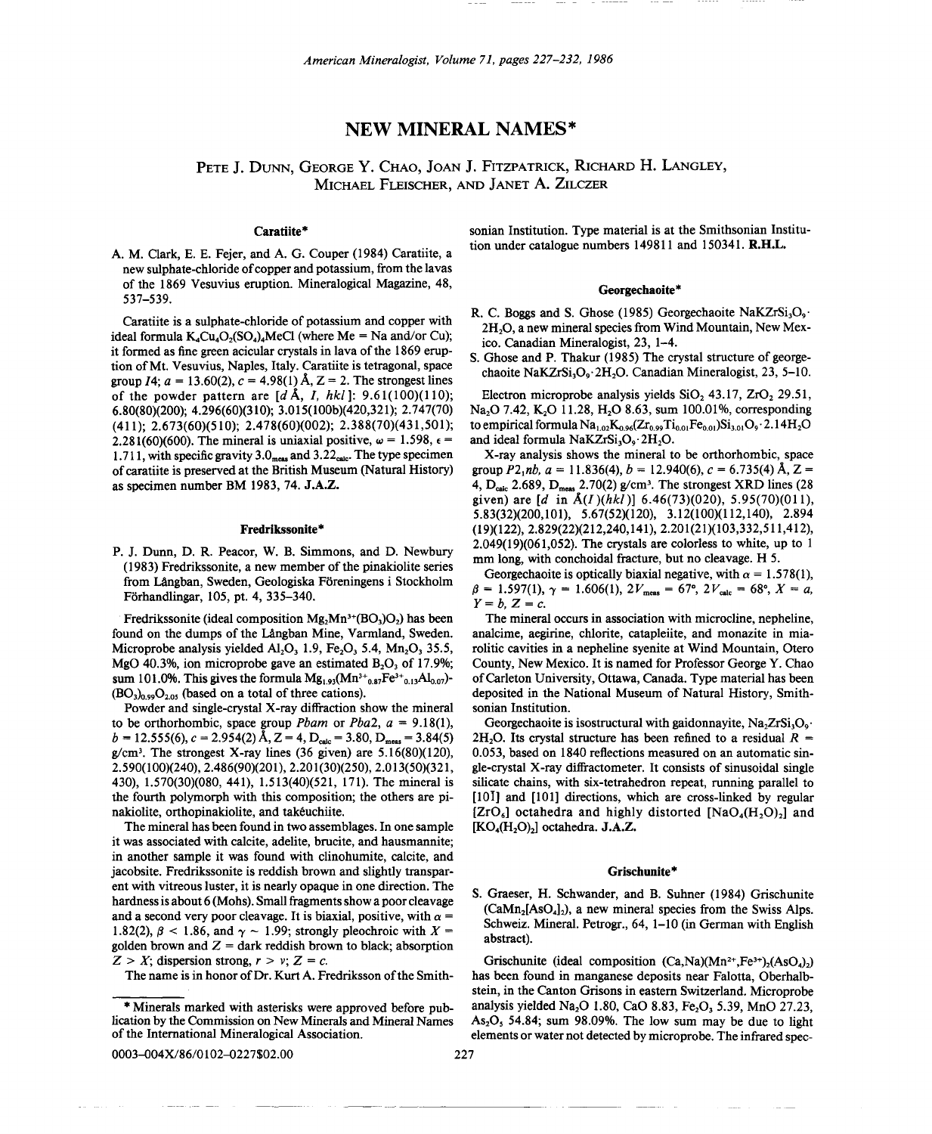# NEW **MINERAL** NAMES\*

# PETE J. DUNN, GEORGE Y. CHAO, JOAN J. FITZPATRICK, RICHARD H. LANGLEY, MICHAEL FLEISCHER, AND JANET A. ZILCZER

## Caratiite\*

A. M. Clark, E. E. Fejer, and A. G. Couper (1984) Caratiite, a new sulphate-chloride of copper and potassium, from the lavas of the 1869 Vesuvius eruption. Mineralogical Magazine, 48, 537-539.

Caratiite is a sulphate-chloride of potassium and copper with ideal formula  $K_4Cu_4O_2(SO_4)_4MeCl$  (where Me = Na and/or Cu); it formed as fine green acicular crystals in lava of the 1869 eruption ofMt. Vesuvius, Naples, Italy. Caratiite is tetragonal, space group  $I4$ ;  $a = 13.60(2)$ ,  $c = 4.98(1)$  A,  $Z = 2$ . The strongest lines of the powder pattern are *fdA,* 1, *hkl]: 9.61(100)(110);* 6.80(80)(200); 4.296(60)(310); 3.0l5(100b)(420,32l); 2.747(70) (411); 2.673(60)(510); 2.478(60)(002); 2.388(70)(431,501); 2.281(60)(600). The mineral is uniaxial positive,  $\omega = 1.598$ ,  $\epsilon =$ 1.711, with specific gravity  $3.0<sub>meas</sub>$  and  $3.22<sub>calc</sub>$ . The type specimen of caratiite is preserved at the British Museum (Natural History) as specimen number BM 1983,74. J.A.Z.

#### Fredrikssonite\*

P. J. Dunn, D. R. Peacor, W. B. Simmons, and D. Newbury (1983) Fredrikssonite, a new member of the pinakiolite series from Långban, Sweden, Geologiska Föreningens i Stockholm Forhandlingar, 105, pt. 4, 335-340.

Fredrikssonite (ideal composition  $Mg_2Mn^{3+}(BO_3)O_2$ ) has been found on the dumps of the Långban Mine, Varmland, Sweden. Microprobe analysis yielded  $\text{Al}_2\text{O}_3$  1.9, Fe<sub>2</sub>O<sub>3</sub> 5.4, Mn<sub>2</sub>O<sub>3</sub> 35.5, MgO 40.3%, ion microprobe gave an estimated  $B_2O_3$  of 17.9%; sum 101.0%. This gives the formula  $Mg_{1,93}(Mn^{3+}{}_{0.87}Fe^{3+}{}_{0.13}Al_{0.07})$ - $(BO<sub>3</sub>)<sub>0.99</sub>O<sub>2.05</sub>$  (based on a total of three cations).

Powder and single-crystal X-ray diffraction show the mineral to be orthorhombic, space group *Pbam* or *Pba2*,  $a = 9.18(1)$ ,  $b = 12.555(6), c = 2.954(2) \text{ Å}, Z = 4, \text{D}_{\text{calc}} = 3.80, \text{D}_{\text{meas}} = 3.84(5)$  $g/cm<sup>3</sup>$ . The strongest X-ray lines (36 given) are 5.16(80)(120), 2.590(100)(240), 2.486(90)(201), 2.201(30)(250), 2.013(50)(321, 430),1.570(30)(080,441),1.513(40)(521,171). The mineral is the fourth polymorph with this composition; the others are pinakiolite, orthopinakiolite, and takeuchiite.

The mineral has been found in two assemblages. In one sample it was associated with calcite, adelite, brucite, and hausmannite; in another sample it was found with clinohumite, calcite, and jacobsite. Fredrikssonite is reddish brown and slightly transparent with vitreous luster, it is nearly opaque in one direction. The hardness is about 6 (Mohs). Small fragments show a poor cleavage and a second very poor cleavage. It is biaxial, positive, with  $\alpha =$ 1.82(2),  $\beta$  < 1.86, and  $\gamma$  ~ 1.99; strongly pleochroic with *X* = golden brown and  $Z =$  dark reddish brown to black; absorption  $Z > X$ ; dispersion strong,  $r > v$ ;  $Z = c$ .

The name is in honor of Dr. Kurt A. Fredriksson of the Smith-

0003-004X/86/0102-0227\$02.00

sonian Institution. Type material is at the Smithsonian Institution under catalogue numbers 149811 and 150341. R.H.L.

#### Georgechaoite\*

- R. C. Boggs and S. Ghose (1985) Georgechaoite NaKZr $Si<sub>3</sub>O<sub>9</sub>$ . 2H<sub>2</sub>O, a new mineral species from Wind Mountain, New Mexico. Canadian Mineralogist, 23, 1-4.
- S. Ghose and P. Thakur (1985) The crystal structure of georgechaoite NaKZrSi<sub>3</sub>O<sub>9</sub>. 2H<sub>2</sub>O. Canadian Mineralogist, 23, 5-10.

Electron microprobe analysis yields SiO,  $43.17$ ,  $ZrO<sub>2</sub> 29.51$ , Na<sub>2</sub>O 7.42, K<sub>2</sub>O 11.28, H<sub>2</sub>O 8.63, sum 100.01%, corresponding to empirical formula  $\rm Na_{1.02}K_{0.96}(Zr_{0.99}Ti_{0.01}Fe_{0.01})Si_{3.01}O_9 \cdot 2.14H_2O$ and ideal formula  $NaKZrSi<sub>3</sub>O<sub>9</sub>·2H<sub>2</sub>O$ .

X-ray analysis shows the mineral to be orthorhombic, space group  $P2_1nb$ ,  $a = 11.836(4)$ ,  $b = 12.940(6)$ ,  $c = 6.735(4)$  Å,  $Z =$ 4,  $D_{\text{calc}}$  2.689,  $D_{\text{meas}}$  2.70(2) g/cm<sup>3</sup>. The strongest XRD lines (28 given) are *[d* in *A(I)(hkl)]* 6.46(73)(020), 5.95(70)(011), 5.83(32)(200,101), 5.67(52)(120), 3.12(100)(112,140), 2.894 (19)(122), 2.829(22)(212,240,141), 2.201(21)(103,332,511,412), 2.049(19)(061,052). The crystals are colorless to white, up to 1 mm long, with conchoidal fracture, but no cleavage. H 5.

Georgechaoite is optically biaxial negative, with  $\alpha = 1.578(1)$ ,  $\beta = 1.597(1), \gamma = 1.606(1), 2V_{\text{meas}} = 67^{\circ}, 2V_{\text{calc}} = 68^{\circ}, X = a$  $Y = b$ ,  $Z = c$ .

The mineral occurs in association with microcline, nepheline, analcime, aegirine, chlorite, catapleiite, and monazite in miarolitic cavities in a nepheline syenite at Wind Mountain, Otero County, New Mexico. It is named for Professor George Y. Chao of Carleton University, Ottawa, Canada. Type material has been deposited in the National Museum of Natural History, Smithsonian Institution.

Georgechaoite is isostructural with gaidonnavite,  $Na<sub>2</sub>ZrSi<sub>2</sub>O<sub>9</sub>$ . 2H<sub>2</sub>O. Its crystal structure has been refined to a residual  $R =$ 0.053, based on 1840 reflections measured on an automatic single-crystal X-ray diffractometer. It consists of sinusoidal single silicate chains, with six-tetrahedron repeat, running parallel to [10] and [101] directions, which are cross-linked by regular [ $ZrO_6$ ] octahedra and highly distorted [NaO<sub>4</sub>(H<sub>2</sub>O)<sub>2</sub>] and  $[KO_4(H_2O)_2]$  octahedra. J.A.Z.

#### Grischunite\*

S. Graeser, H. Schwander, and B. Suhner (1984) Grischunite  $(CaMn_2[AsO_4]_2)$ , a new mineral species from the Swiss Alps. Schweiz. Mineral. Petrogr., 64, 1-10 (in German with English abstract).

Grischunite (ideal composition  $(Ca,Na)(Mn^{2+},Fe^{3+})$ <sub>2</sub>(AsO<sub>4</sub>)<sub>2</sub>) has been found in manganese deposits near Falotta, Oberhalbstein, in the Canton Grisons in eastern Switzerland. Microprobe analysis yielded Na<sub>2</sub>O 1.80, CaO 8.83, Fe<sub>2</sub>O<sub>3</sub> 5.39, MnO 27.23, As<sub>2</sub>O<sub>5</sub> 54.84; sum 98.09%. The low sum may be due to light elements or water not detected by microprobe. The infrared spec-

-\_.

<sup>\*</sup> lication by the Commission on New Minerals and Mineral Names Minerals marked with asterisks were approved before pubof the International Mineralogical Association.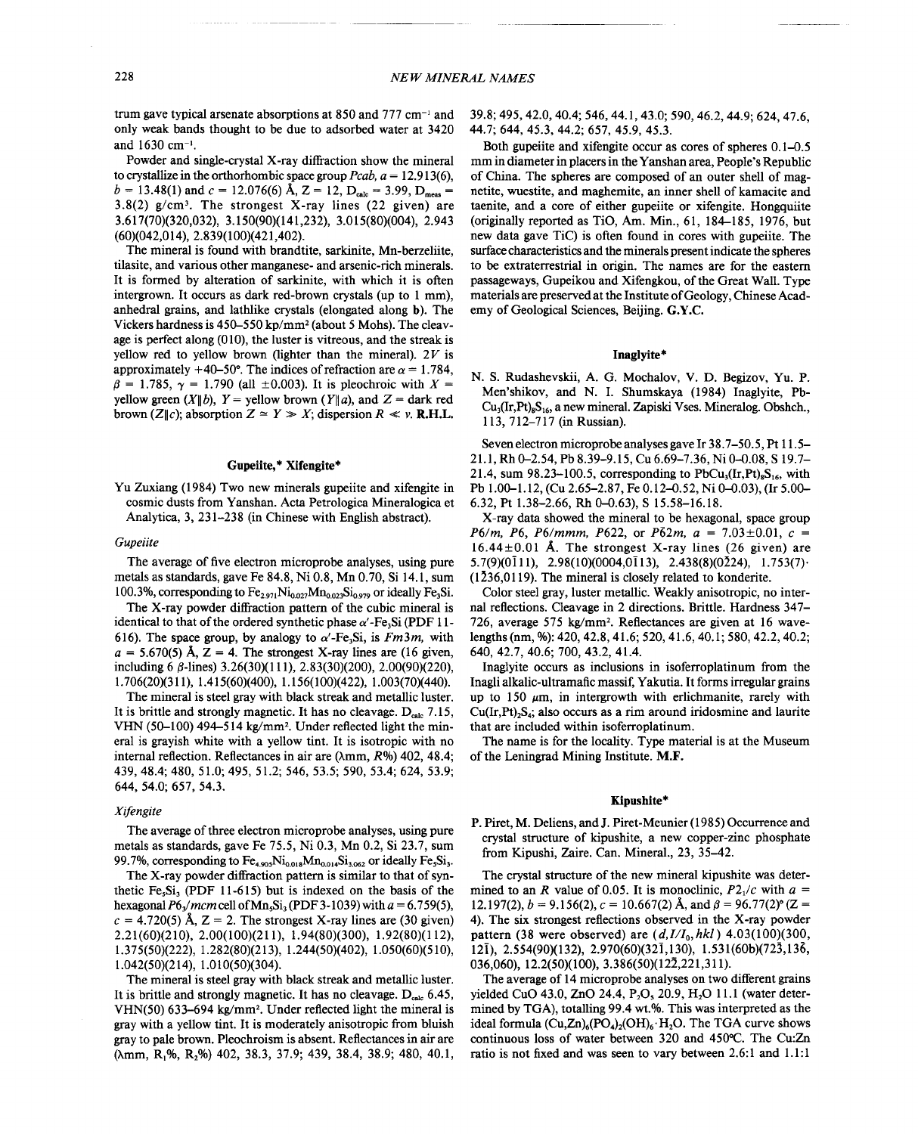trum gave typical arsenate absorptions at  $850$  and  $777$  cm<sup>-1</sup> and only weak bands thought to be due to adsorbed water at 3420 and 1630 cm-I.

Powder and single-crystal X-ray diffraction show the mineral to crystallize in the orthorhombic space group  $Pcab$ ,  $a = 12.913(6)$ ,  $b = 13.48(1)$  and  $c = 12.076(6)$  Å,  $Z = 12$ ,  $D_{\text{calc}} = 3.99$ ,  $D_{\text{meas}} =$ 3.8(2)  $g/cm^3$ . The strongest X-ray lines (22 given) are 3.617(70)(320,032), 3.150(90)(141,232), 3.015(80)(004), 2.943 (60)(042,014),2.839(100)(421,402).

The mineral is found with brandtite, sarkinite, Mn-berzeliite, tilasite, and various other manganese- and arsenic-rich minerals. It is formed by alteration of sarkinite, with which it is often intergrown. It occurs as dark red-brown crystals (up to I mm), anhedral grains, and lathlike crystals (elongated along b). The Vickers hardness is 450-550 kp/mm2 (about 5 Mohs). The cleavage is perfect along (010), the luster is vitreous, and the streak is yellow red to yellow brown (lighter than the mineral).  $2V$  is approximately  $+40-50^\circ$ . The indices of refraction are  $\alpha = 1.784$ ,  $\beta = 1.785$ ,  $\gamma = 1.790$  (all  $\pm 0.003$ ). It is pleochroic with *X* = yellow green  $(X||b)$ ,  $Y =$  yellow brown  $(Y||a)$ , and  $Z =$  dark red brown (Z||c); absorption  $Z \cong Y \gg X$ ; dispersion  $R \ll v$ . **R.H.I**.

#### Gupeiite,\* Xifengite\*

Yu Zuxiang (1984) Two new minerals gupeiite and xifengite in cosmic dusts from Yanshan. Acta Petrologica Mineralogica et Analytica, 3, 231-238 (in Chinese with English abstract).

#### *Gupeiite*

The average of five electron microprobe analyses, using pure metals as standards, gave Fe 84.8, Ni 0.8, Mn 0.70, Si 14.1, sum 100.3%, corresponding to  $Fe_{2.971}Ni_{0.027}Mn_{0.023}Si_{0.979}$  or ideally Fe<sub>3</sub>Si.

The X-ray powder diffraction pattern of the cubic mineral is identical to that of the ordered synthetic phase  $\alpha'$ -Fe<sub>3</sub>Si (PDF 11-616). The space group, by analogy to  $\alpha'$ -Fe<sub>3</sub>Si, is *Fm3m*, with  $a = 5.670(5)$  Å,  $Z = 4$ . The strongest X-ray lines are (16 given, including 6  $\beta$ -lines) 3.26(30)(111), 2.83(30)(200), 2.00(90)(220), 1.706(20)(311), 1.415(60)(400), 1.156( 100)(422), 1.003(70)(440).

The mineral is steel gray with black streak and metallic luster. It is brittle and strongly magnetic. It has no cleavage.  $D_{\text{calc}}$  7.15, VHN (50-100) 494-514 kg/mm<sup>2</sup>. Under reflected light the minerai is grayish white with a yellow tint. It is isotropic with no internal reflection. Reflectances in air are (Amm, *R%)* 402, 48.4; 439,48.4; 480, 51.0; 495, 51.2; 546, 53.5; 590, 53.4; 624, 53.9; 644, 54.0; 657, 54.3.

## *Xifengite*

The average of three electron microprobe analyses, using pure metals as standards, gave Fe 75.5, Ni 0.3, Mn 0.2, Si 23.7, sum 99.7%, corresponding to  $Fe_{4.905}Ni_{0.018}Mn_{0.014}Si_{3.062}$  or ideally Fe,Si<sub>3</sub>.

The X-ray powder diffraction pattern is similar to that of synthetic  $Fe<sub>5</sub>Si<sub>3</sub>$  (PDF 11-615) but is indexed on the basis of the hexagonal  $P6_3/mcm$  cell of Mn<sub>5</sub>Si<sub>3</sub> (PDF 3-1039) with  $a = 6.759(5)$  $c = 4.720(5)$  Å, Z = 2. The strongest X-ray lines are (30 given) 2.21(60)(210), 2.00(100)(211), 1.94(80)(300), 1.92(80)(112), 1.375(50)(222), 1.282(80)(213), 1.244(50)(402), 1.050(60)(510), 1.042(50)(214), 1.010(50)(304).

The mineral is steel gray with black streak and metallic luster. It is brittle and strongly magnetic. It has no cleavage.  $D_{\text{calc}}$  6.45, VHN(50) 633-694 kg/mm<sup>2</sup>. Under reflected light the mineral is gray with a yellow tint. It is moderately anisotropic from bluish gray to pale brown. Pleochroism is absent. Reflectances in air are ( $\lambda$ mm, R<sub>1</sub>%, R<sub>2</sub>%) 402, 38.3, 37.9; 439, 38.4, 38.9; 480, 40.1, 39.8; 495, 42.0, 40.4; 546, 44.1, 43.0; 590, 46.2, 44.9; 624, 47.6, 44.7; 644, 45.3, 44.2; 657, 45.9, 45.3.

Both gupeiite and xifengite occur as cores of spheres 0.1-0.5 mm in diameter in placersin the Yanshan area, People's Republic of China. The spheres are composed of an outer shell of magnetite, wuestite, and maghemite, an inner shell of kamacite and taenite, and a core of either gupeiite or xifengite. Hongquiite (originally reported as TiO, Am. Min., 61,184-185,1976, but new data gave TiC) is often found in cores with gupeiite. The surface characteristics and the minerals present indicate the spheres to be extraterrestrial in origin. The names are for the eastern passageways, Gupeikou and Xifengkou, of the Great Wall. Type materials are preserved at the Institute of Geology, Chinese Academy of Geological Sciences, Beijing. G.Y.C.

## Inaglyite\*

N. S. Rudashevskii, A. G. Mochalov, V. D. Begizov, Yu. P. Men'shikov, and N. I. Shumskaya (1984) Inaglyite, Pb- $Cu<sub>3</sub>(Ir, Pt)<sub>8</sub>S<sub>16</sub>$ , a new mineral. Zapiski Vses. Mineralog. Obshch., 113, 712-717 (in Russian).

Seven electron microprobe analyses gave Ir 38.7-50.5, Pt 11.5- 21.1, Rh 0-2.54, Pb 8.39-9.15, Cu 6.69-7.36, Ni 0-0.08, S 19.7- 21.4, sum 98.23–100.5, corresponding to  $PbCu<sub>3</sub>(Ir, Pt)<sub>8</sub>S<sub>16</sub>$ , with Pb 1.00-1.12, (Cu 2.65-2.87, Fe 0.12-0.52, Ni 0-0.03), (Ir 5.00- 6.32, Pt 1.38-2.66, Rh 0-0.63), S 15.58-16.18.

X-ray data showed the mineral to be hexagonal, space group *P6/m, P6, P6/mmm, P622, or P62m, a* = 7.03 $\pm$ 0.01, *c* =  $16.44 \pm 0.01$  Å. The strongest X-ray lines (26 given) are 5.7(9)(0111), 2.98(10)(0004,0113), 2.438(8)(0224), 1.753(7). (1236,0119). The mineral is closely related to konderite.

Color steel gray, luster metallic. Weakly anisotropic, no internal reflections. Cleavage in 2 directions. Brittle. Hardness 347- 726, average 575 kg/mm<sup>2</sup>. Reflectances are given at 16 wavelengths (nm, %): 420, 42.8, 41.6; 520, 41.6, 40.1; 580, 42.2, 40.2; 640, 42.7, 40.6; 700, 43.2, 41.4.

Inaglyite occurs as inclusions in isoferroplatinum from the Inagli alkalic-ultramafic massif, Yakutia. It forms irregular grains up to 150  $\mu$ m, in intergrowth with erlichmanite, rarely with  $Cu(Ir,Pt), S<sub>4</sub>;$  also occurs as a rim around iridosmine and laurite that are included within isoferroplatinum.

The name is for the locality. Type material is at the Museum of the Leningrad Mining Institute. M.F.

## Kipushite\*

P. Piret, M. Deliens, and J. Piret-Meunier (1985) Occurrence and crystal structure of kipushite, a new copper-zinc phosphate from Kipushi, Zaire. Can. Mineral., 23, 35-42.

The crystal structure of the new mineral kipushite was determined to an *R* value of 0.05. It is monoclinic,  $P2<sub>1</sub>/c$  with  $a =$ 12.197(2),  $b = 9.156(2)$ ,  $c = 10.667(2)$  Å, and  $\beta = 96.77(2)$ ° (Z = 4). The six strongest reflections observed in the X-ray powder pattern (38 were observed) are *(d,I/Io, hkl) 4.03(100)(300,* 121), 2.554(90)(132), 2.970(60)(321,130), 1.53 I(60b)(723, 136, 036,060), 12.2(50)(100), 3.386(50)(122,221,311).

The average of 14 microprobe analyses on two different grains vielded CuO 43.0, ZnO 24.4, P<sub>2</sub>O, 20.9, H<sub>2</sub>O 11.1 (water determined by TGA), totalling 99.4 wt.%. This was interpreted as the ideal formula  $(Cu,Zn)_{6}(PO_{4})_{2}(OH)_{6} \cdot H_{2}O$ . The TGA curve shows continuous loss of water between 320 and 450°C. The Cu:Zn ratio is not fixed and was seen to vary between 2.6:1 and 1.1:1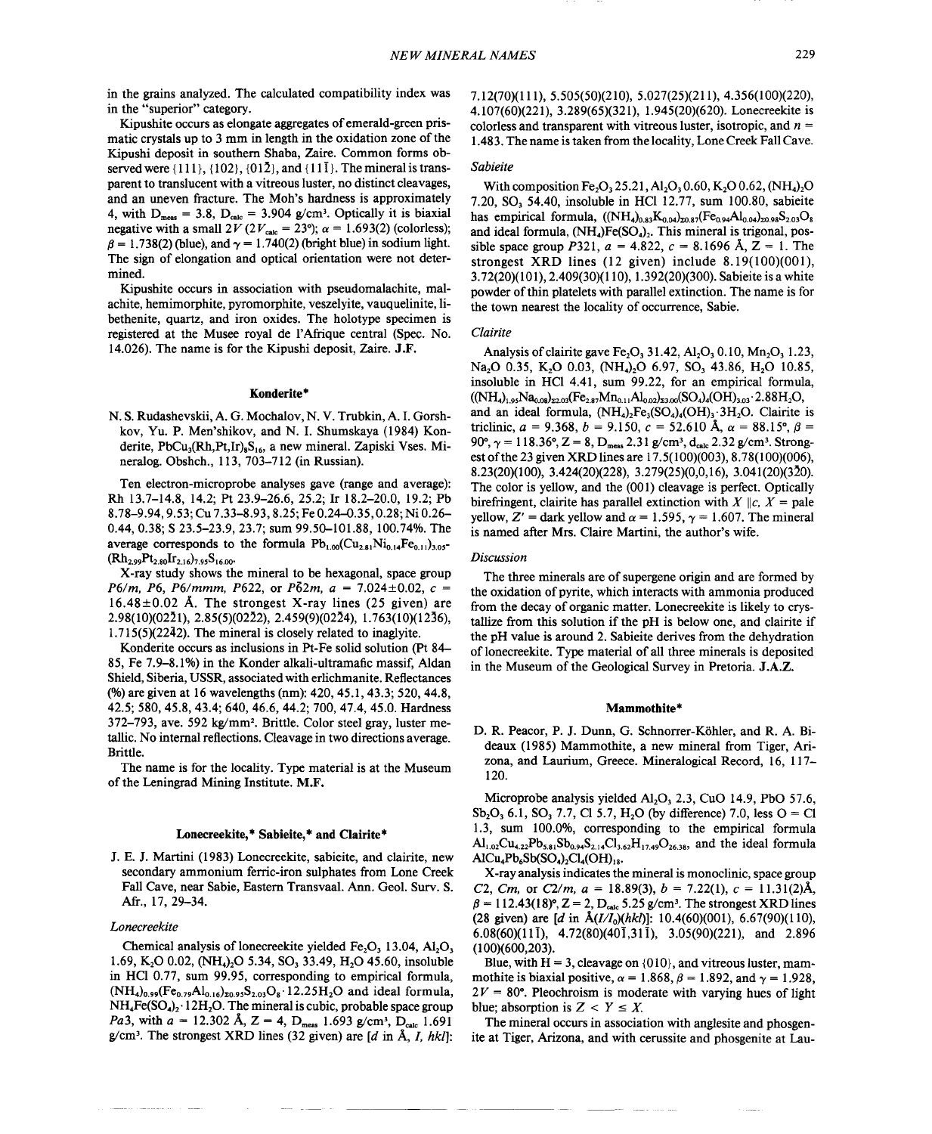in the grains analyzed. The calculated compatibility index was in the "superior" category.

Kipushite occurs as elongate aggregates of emerald-green prismatic crystals up to 3 mm in length in the oxidation zone of the Kipushi deposit in southern Shaba, Zaire. Common forms observed were  $\{111\}, \{102\}, \{01\overline{2}\}, \text{and } \{11\overline{1}\}.$  The mineral is transparent to translucent with a vitreous luster, no distinct cleavages, and an uneven fracture. The Moh's hardness is approximately 4, with  $D_{\text{meas}} = 3.8$ ,  $D_{\text{calc}} = 3.904$  g/cm<sup>3</sup>. Optically it is biaxial negative with a small  $2V (2V_{\text{calc}} = 23^{\circ})$ ;  $\alpha = 1.693(2)$  (colorless);  $\beta = 1.738(2)$  (blue), and  $\gamma = 1.740(2)$  (bright blue) in sodium light. The sign of elongation and optical orientation were not determined.

Kipushite occurs in association with pseudomalachite, malachite, hemimorphite, pyromorphite, veszelyite, vauquelinite, libethenite, quartz, and iron oxides. The holotype specimen is registered at the Musee royal de l'Afrique central (Spec. No. 14.026). The name is for the Kipushi deposit, Zaire. J.F.

#### Konderite\*

N. S.Rudashevskii, A. G. Mochalov, N. V. Trubkin, A. 1.Gorshkov, Yu. P. Men'shikov, and N. 1. Shumskaya (1984) Konderite, PbCu<sub>3</sub>(Rh,Pt,Ir)<sub>8</sub>S<sub>16</sub>, a new mineral. Zapiski Vses. Mineralog. Obshch., 113, 703-712 (in Russian).

Ten electron-microprobe analyses gave (range and average): Rh 13.7-14.8, 14.2; Pt 23.9-26.6, 25.2; Ir 18.2-20.0, 19.2; Pb 8.78-9.94,9.53; Cu 7.33-8.93, 8.25; Fe 0.24-0.35, 0.28; Ni 0.26- 0.44,0.38; S 23.5-23.9, 23.7; sum 99.50-101.88, 100.74%. The average corresponds to the formula  $Pb_{1.00}(Cu_{2.81}Ni_{0.14}Fe_{0.11})_{3.05}$ - $(Rh_{2.99}Pt_{2.80}Ir_{2.16})_{7.95}S_{16.00}$ 

X-ray study shows the mineral to be hexagonal, space group *P6/m, P6, P6/mmm, P622, or P62m,*  $a = 7.024 \pm 0.02$ ,  $c =$  $16.48\pm0.02$  Å. The strongest X-ray lines (25 given) are 2.98(10)(0221), 2.85(5)(0222), 2.459(9)(0224), 1.763(10)(1236), 1.715(5)(2242). The mineral is closely related to inaglyite.

Konderite occurs as inclusions in Pt-Fe solid solution (Pt 84- 85, Fe 7.9-8.1%) in the Konder alkali-ultramafic massif, Aldan Shield, Siberia, USSR, associated with erlichmanite. Reflectances (%) are given at 16 wavelengths (nm): 420, 45.1, 43.3; 520,44.8, 42.5; 580, 45.8, 43.4; 640, 46.6, 44.2; 700, 47.4, 45.0. Hardness 372-793, ave. 592 kg/mm2. Brittle. Color steel gray, luster metallic. No internal reflections. Cleavage in two directions average. Brittle.

The name is for the locality. Type material is at the Museum of the Leningrad Mining Institute. M.F.

# Lonecreekite, \* Sabieite, \* **and** Clairite\*

J. E. J. Martini (1983) Lonecreekite, sabieite, and clairite, new secondary ammonium ferric-iron sulphates from Lone Creek Fall Cave, near Sabie, Eastern Transvaal. Ann. Geol. Surv. S. Aft., 17, 29-34.

#### *Lonecreekite*

Chemical analysis of lonecreekite yielded  $Fe<sub>2</sub>O<sub>3</sub>$  13.04, Al<sub>2</sub>O<sub>3</sub> 1.69, K<sub>2</sub>O 0.02, (NH<sub>4</sub>)<sub>2</sub>O 5.34, SO<sub>3</sub> 33.49, H<sub>2</sub>O 45.60, insoluble in HCl 0.77, sum 99.95, corresponding to empirical formula,  $(NH_4)_{0.99}$ (Fe<sub>0.79</sub>Al<sub>0.16</sub>)<sub>20.95</sub>S<sub>2.03</sub>O<sub>8</sub>·12.25H<sub>2</sub>O and ideal formula,  $NH_4Fe(SO_4)_2 \cdot 12H_2O$ . The mineral is cubic, probable space group *Pa3,* with  $a = 12.302$  Å,  $Z = 4$ ,  $D_{meas}$  1.693 g/cm<sup>3</sup>,  $D_{calc}$  1.691 g/cm'. The strongest XRD lines (32 given) are *[d* in A, *I, hkl]:* 7.12(70)(111),5.505(50)(210), 5.027(25)(211),4.356(100)(220), 4.107(60)(221), 3.289(65)(321), 1.945(20)(620). Lonecreekite is colorless and transparent with vitreous luster, isotropic, and *n =* 1.483. The name is taken from the locality, Lone Creek Fall Cave.

## *Sabieite*

With composition Fe<sub>2</sub>O<sub>2</sub> 25.21, A<sub>1</sub>,O<sub>2</sub> 0.60, K<sub>2</sub>O 0.62, (NH<sub>4</sub>)<sub>2</sub>O 7.20, SO, 54.40, insoluble in HCl12.77, sum 100.80, sabieite has empirical formula,  $((NH_4)_{0.83}K_{0.04})_{20.87}$ (Fe<sub>0.94</sub>Al<sub>0.04</sub>)<sub>20.98</sub>S<sub>2.03</sub>O<sub>8</sub> and ideal formula,  $(NH<sub>4</sub>)Fe(SO<sub>4</sub>)<sub>2</sub>$ . This mineral is trigonal, possible space group *P*321,  $a = 4.822$ ,  $c = 8.1696$  Å,  $Z = 1$ . The strongest XRD lines (12 given) include 8.19(100)(001), 3.72(20)(10 1),2.409(30)(110), 1.392(20)(300). Sabieite is a white powder of thin platelets with parallel extinction. The name is for the town nearest the locality of occurrence, Sabie.

#### *Clairite*

Analysis of clairite gave Fe<sub>2</sub>O<sub>1</sub> 31.42, Al<sub>2</sub>O<sub>3</sub> 0.10, Mn<sub>2</sub>O<sub>3</sub> 1.23, Na<sub>2</sub>O 0.35, K<sub>2</sub>O 0.03, (NH<sub>4</sub>)<sub>2</sub>O 6.97, SO<sub>3</sub> 43.86, H<sub>2</sub>O 10.85, insoluble in HCl 4.41, sum 99.22, for an empirical formula,  $((NH_4)_{1.95}Na_{0.08})_{22.03}$   $(Fe_{2.87}Mn_{0.11}Al_{0.02})_{23.00}$   $(SO_4)_4$   $(OH)_{3.03}$   $\cdot$  2.8  $8H_2O$ , and an ideal formula,  $(NH_4)$ <sub>2</sub>Fe<sub>3</sub>(SO<sub>4</sub>)<sub>4</sub>(OH)<sub>3</sub> $\cdot$ 3H<sub>2</sub>O. Clairite is triclinic,  $a = 9.368$ ,  $b = 9.150$ ,  $c = 52.610$  Å,  $\alpha = 88.15^{\circ}$ ,  $\beta =$ 90°,  $\gamma = 118.36$ °,  $Z = 8$ ,  $D_{meas}$  2.31 g/cm<sup>3</sup>,  $d_{calc}$  2.32 g/cm<sup>3</sup>. Strong est of the 23 given XRD lines are 17.5(100)(003), 8.78(100)(006), 8.23(20)(100), 3.424(20)(228), 3.279(25)(0,0,16), 3.041 (20)(320). The color is yellow, and the (001) cleavage is perfect. Optically birefringent, clairite has parallel extinction with  $X \parallel c$ ,  $X =$  pale yellow, Z' = dark yellow and  $\alpha = 1.595$ ,  $\gamma = 1.607$ . The mineral is named after Mrs. Claire Martini, the author's wife.

## *Discussion*

--.-

The three minerals are of supergene origin and are formed by the oxidation of pyrite, which interacts with ammonia produced from the decay of organic matter. Lonecreekite is likely to crystallize from this solution if the pH is below one, and clairite if the pH value is around 2. Sabieite derives from the dehydration of lonecreekite. Type material of all three minerals is deposited in the Museum of the Geological Survey in Pretoria. J.A.Z.

#### Mammothite\*

D. R. Peacor, P. J. Dunn, G. Schnorrer-Kohler, and R. A. Bideaux (1985) Mammothite, a new mineral from Tiger, Arizona, and Laurium, Greece. Mineralogical Record, 16, 117- 120.

Microprobe analysis yielded  $AI<sub>2</sub>O<sub>3</sub>$ , 2.3, CuO 14.9, PbO 57.6,  $Sb_2O_3$ , 6.1, SO<sub>3</sub>, 7.7, Cl 5.7, H<sub>2</sub>O (by difference) 7.0, less  $O = Cl$ 1.3, sum 100.0%, corresponding to the empirical formula  $\text{Al}_{1.02}\text{Cu}_{4.22}\text{Pb}_{5.81}\text{Sb}_{0.94}\text{S}_{2.14}\text{Cl}_{3.62}\text{H}_{17.49}\text{O}_{26.38}$ , and the ideal formula  $AICu<sub>4</sub>Pb<sub>6</sub>Sb(SO<sub>4</sub>)<sub>2</sub>Cl<sub>4</sub>(OH)<sub>18</sub>.$ 

X-ray analysis indicates the mineral is monoclinic, space group *C2, Cm,* or *C2/m,*  $a = 18.89(3)$ ,  $b = 7.22(1)$ ,  $c = 11.31(2)$ Å  $\beta = 112.43(18)^\circ$ ,  $Z = 2$ ,  $D_{\text{calc}}$  5.25 g/cm<sup>3</sup>. The strongest XRD lines (28 given) are *[d* in *A(I/Io)(hkl)]:* 10.4(60)(001), 6.67(90)(110), 6.08(60)(11 $\bar{1}$ ), 4.72(80)(40 $\bar{1}$ ,31 $\bar{1}$ ), 3.05(90)(221), and 2.896 (100)(600,203).

Blue, with  $H = 3$ , cleavage on  $\{010\}$ , and vitreous luster, mam mothite is biaxial positive,  $\alpha = 1.868$ ,  $\beta = 1.892$ , and  $\gamma = 1.928$  $2V = 80^\circ$ . Pleochroism is moderate with varying hues of light blue; absorption is  $Z \leq Y \leq X$ .

The mineral occurs in association with anglesite and phosgenite at Tiger, Arizona, and with cerussite and phosgenite at Lau-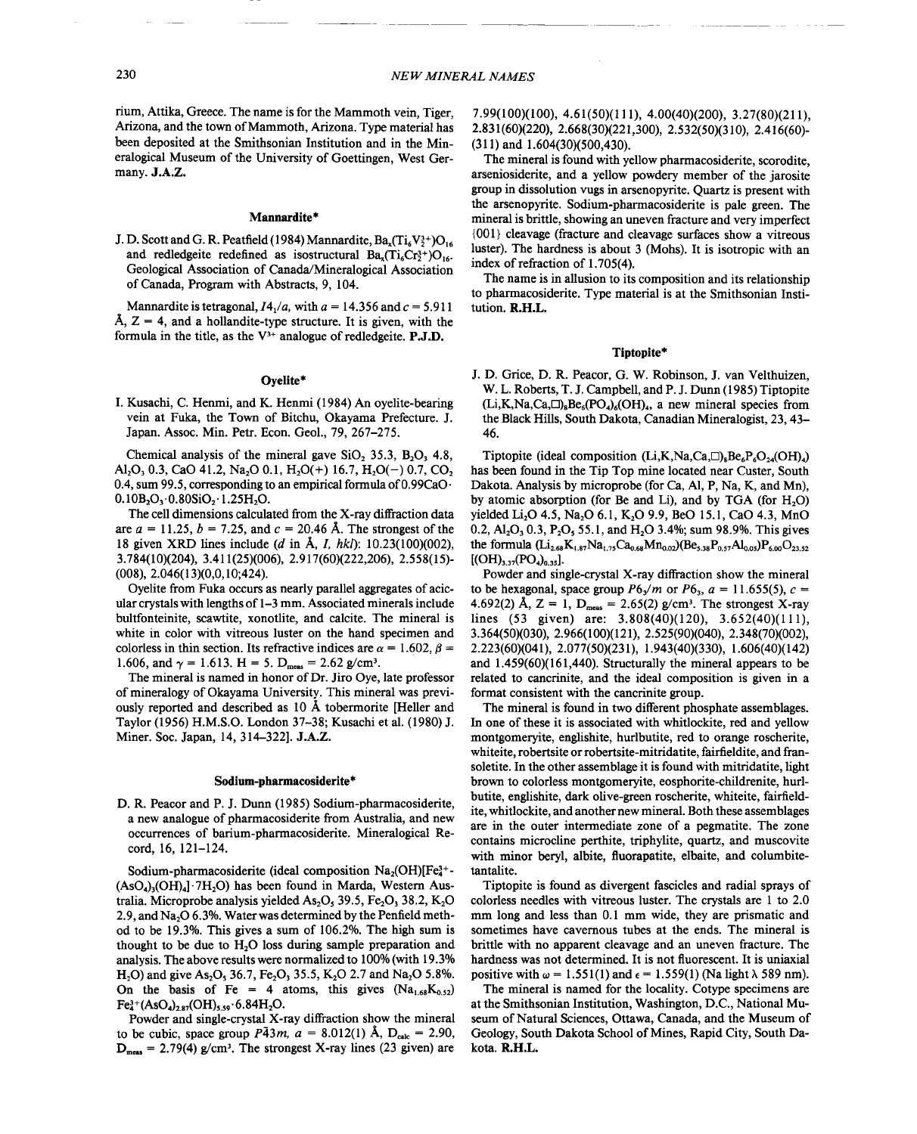rium, Attika, Greece. The name is for the Mammoth vein. Tiger. Arizona, and the town of Mammoth, Arizona. Type material has been deposited at the Smithsonian Institution and in the Mineralogical Museum of the University of Goettingen, West Germany. J.A.Z.

### Mannardite\*

J. D. Scott and G. R. Peatfield (1984) Mannardite,  $Ba_x(Ti_6V_2^{3+})O_{16}$ and redledgeite redefined as isostructural  $Ba<sub>x</sub>(Ti<sub>6</sub>Cr<sub>2</sub><sup>3+</sup>)O<sub>16</sub>$ . Geological Association of Canada/Mineralogical Association of Canada. Program with Abstracts, 9, 104.

Mannardite is tetragonal,  $I4_1/a$ , with  $a = 14.356$  and  $c = 5.911$ Å,  $Z = 4$ , and a hollandite-type structure. It is given, with the formula in the title, as the  $V^{3+}$  analogue of redledgeite. **P.J.D.** 

#### Ovelite\*

I. Kusachi, C. Henmi, and K. Henmi (1984) An oyelite-bearing vein at Fuka, the Town of Bitchu, Okayama Prefecture. J. Japan. Assoc. Min. Petr. Econ. Geol., 79, 267-275.

Chemical analysis of the mineral gave  $SiO<sub>2</sub> 35.3$ ,  $B<sub>2</sub>O<sub>3</sub> 4.8$ , Al<sub>2</sub>O<sub>3</sub> 0.3, CaO 41.2, Na<sub>2</sub>O 0.1, H<sub>2</sub>O(+) 16.7, H<sub>2</sub>O(-) 0.7, CO<sub>2</sub> 0.4, sum 99.5, corresponding to an empirical formula of  $0.99CaO$ .  $0.10B_2O_3.0.80SiO_2.1.25H_2O.$ 

The cell dimensions calculated from the X-ray diffraction data are  $a = 11.25$ ,  $b = 7.25$ , and  $c = 20.46$  Å. The strongest of the 18 given XRD lines include (d in  $\AA$ , I, hkl): 10.23(100)(002), 3.784(10)(204), 3.411(25)(006), 2.917(60)(222,206), 2.558(15)- $(008)$ , 2.046 $(13)(0,0,10;424)$ .

Oyelite from Fuka occurs as nearly parallel aggregates of acicular crystals with lengths of 1-3 mm. Associated minerals include bultfonteinite, scawtite, xonotlite, and calcite. The mineral is white in color with vitreous luster on the hand specimen and colorless in thin section. Its refractive indices are  $\alpha = 1.602$ ,  $\beta =$ 1.606, and  $\gamma = 1.613$ . H = 5. D<sub>meas</sub> = 2.62 g/cm<sup>3</sup>.

The mineral is named in honor of Dr. Jiro Oye, late professor of mineralogy of Okayama University. This mineral was previously reported and described as 10 Å tobermorite [Heller and Taylor (1956) H.M.S.O. London 37-38; Kusachi et al. (1980) J. Miner. Soc. Japan, 14, 314-322]. J.A.Z.

#### Sodium-pharmacosiderite\*

D. R. Peacor and P. J. Dunn (1985) Sodium-pharmacosiderite, a new analogue of pharmacosiderite from Australia, and new occurrences of barium-pharmacosiderite. Mineralogical Record. 16. 121-124.

Sodium-pharmacosiderite (ideal composition  $Na<sub>2</sub>(OH)[Fe<sub>4</sub><sup>3+</sup> -$ (AsO<sub>4</sub>)<sub>3</sub>(OH)<sub>4</sub>1·7H<sub>2</sub>O) has been found in Marda, Western Australia. Microprobe analysis yielded As<sub>2</sub>O<sub>3</sub> 39.5, Fe<sub>2</sub>O<sub>3</sub> 38.2, K<sub>2</sub>O 2.9, and Na<sub>2</sub>O 6.3%. Water was determined by the Penfield method to be 19.3%. This gives a sum of 106.2%. The high sum is thought to be due to  $H_2O$  loss during sample preparation and analysis. The above results were normalized to 100% (with 19.3% H<sub>2</sub>O) and give As<sub>2</sub>O<sub>3</sub> 36.7, Fe<sub>2</sub>O<sub>3</sub> 35.5, K<sub>2</sub>O 2.7 and Na<sub>2</sub>O 5.8%. On the basis of Fe = 4 atoms, this gives  $(Na_{1.68}K_{0.52})$  $Fe^{3+}_{4}(AsO<sub>4</sub>)<sub>2.87</sub>(OH)<sub>5.59</sub>·6.84H<sub>2</sub>O.$ 

Powder and single-crystal X-ray diffraction show the mineral to be cubic, space group  $P\bar{4}3m$ ,  $a = 8.012(1)$  Å,  $D_{calc} = 2.90$ ,  $D_{meas}$  = 2.79(4) g/cm<sup>3</sup>. The strongest X-ray lines (23 given) are

7.99(100)(100), 4.61(50)(111), 4.00(40)(200), 3.27(80)(211), 2.831(60)(220), 2.668(30)(221,300), 2.532(50)(310), 2.416(60)- $(311)$  and  $1.604(30)(500.430)$ .

The mineral is found with yellow pharmacosiderite, scorodite, arseniosiderite, and a yellow powdery member of the jarosite group in dissolution vugs in arsenopyrite. Quartz is present with the arsenopyrite. Sodium-pharmacosiderite is pale green. The mineral is brittle, showing an uneven fracture and very imperfect {001} cleavage (fracture and cleavage surfaces show a vitreous luster). The hardness is about 3 (Mohs). It is isotropic with an index of refraction of 1.705(4).

The name is in allusion to its composition and its relationship to pharmacosiderite. Type material is at the Smithsonian Institution. R.H.L.

### Tiptopite\*

J. D. Grice, D. R. Peacor, G. W. Robinson, J. van Velthuizen. W. L. Roberts, T. J. Campbell, and P. J. Dunn (1985) Tiptopite  $(L_i,K,N_a,C_a,\Box)_sBe_s(PO_a)_s(OH)_a$ , a new mineral species from the Black Hills, South Dakota, Canadian Mineralogist, 23, 43-46.

Tiptopite (ideal composition  $(L_i, K_i, Na, Ca, \Box)_{a}Be_{c}P_{c}O_{2d}(OH)_{a}$ ) has been found in the Tip Top mine located near Custer, South Dakota. Analysis by microprobe (for Ca, Al, P, Na, K, and Mn), by atomic absorption (for Be and Li), and by TGA (for H<sub>2</sub>O) yielded Li<sub>2</sub>O 4.5, Na<sub>2</sub>O 6.1, K<sub>2</sub>O 9.9, BeO 15.1, CaO 4.3, MnO 0.2,  $Al_2O_3$ , 0.3, P<sub>2</sub>O<sub>5</sub>, 55.1, and H<sub>2</sub>O 3.4%; sum 98.9%. This gives the formula  $(L_{2.68}K_{1.87}Na_{1.75}Ca_{0.68}Mn_{0.02})(Be_{5.38}P_{0.57}Al_{0.05})P_{6.00}O_{23.52}$  $[ (OH)_{3,37} (PO_4)_{0,35} ].$ 

Powder and single-crystal X-ray diffraction show the mineral to be hexagonal, space group  $P6_3/m$  or  $P6_3$ ,  $a = 11.655(5)$ ,  $c =$ 4.692(2) A, Z = 1, D<sub>meas</sub> = 2.65(2) g/cm<sup>3</sup>. The strongest X-ray lines (53 given) are:  $3.808(40)(120)$ ,  $3.652(40)(111)$ , 3.364(50)(030), 2.966(100)(121), 2.525(90)(040), 2.348(70)(002), 2.223(60)(041), 2.077(50)(231), 1.943(40)(330), 1.606(40)(142) and  $1.459(60)(161,440)$ . Structurally the mineral appears to be related to cancrinite, and the ideal composition is given in a format consistent with the cancrinite group.

The mineral is found in two different phosphate assemblages. In one of these it is associated with whitlockite, red and yellow montgomeryite, englishite, hurlbutite, red to orange roscherite, whiteite, robertsite or robertsite-mitridatite, fairfieldite, and fransoletite. In the other assemblage it is found with mitridatite, light brown to colorless montgomeryite, eosphorite-childrenite, hurlbutite, englishite, dark olive-green roscherite, whiteite, fairfieldite, whitlockite, and another new mineral. Both these assemblages are in the outer intermediate zone of a pegmatite. The zone contains microcline perthite, triphylite, quartz, and muscovite with minor beryl, albite, fluorapatite, elbaite, and columbitetantalite.

Tiptopite is found as divergent fascicles and radial sprays of colorless needles with vitreous luster. The crystals are 1 to 2.0 mm long and less than 0.1 mm wide, they are prismatic and sometimes have cavernous tubes at the ends. The mineral is brittle with no apparent cleavage and an uneven fracture. The hardness was not determined. It is not fluorescent. It is uniaxial positive with  $\omega = 1.551(1)$  and  $\epsilon = 1.559(1)$  (Na light  $\lambda$  589 nm).

The mineral is named for the locality. Cotype specimens are at the Smithsonian Institution, Washington, D.C., National Museum of Natural Sciences, Ottawa, Canada, and the Museum of Geology, South Dakota School of Mines, Rapid City, South Dakota. R.H.L.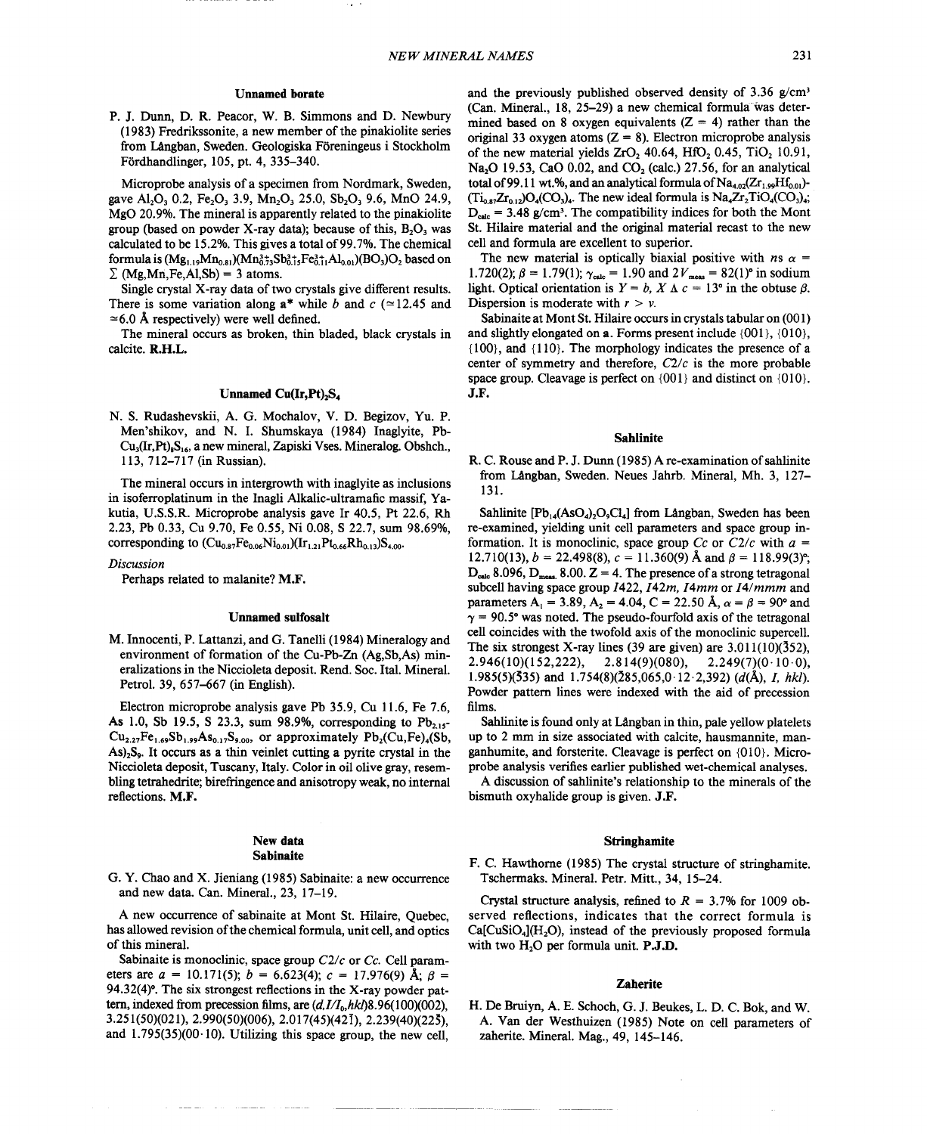#### Unnamed borate

P. J. Dunn, D. R. Peacor, W. B. Simmons and D. Newbury (1983) Fredrikssonite, a new member of the pinakiolite series from lAngban, Sweden. Geologiska Foreningeus i Stockholm Fordhandlinger, 105, pt. 4, 335-340.

Microprobe analysis of a specimen from Nordmark, Sweden, gave Al<sub>2</sub>O<sub>3</sub> 0.2, Fe<sub>2</sub>O<sub>3</sub> 3.9, Mn<sub>2</sub>O<sub>3</sub> 25.0, Sb<sub>2</sub>O<sub>3</sub> 9.6, MnO 24.9, MgO 20.9%. The mineral is apparently related to the pinakiolite group (based on powder X-ray data); because of this,  $B_2O_3$  was calculated to be 15.2%. This gives a total of 99.7%. The chemical formula is  $(Mg_{1,19}Mn_{0.81})(Mn_{0.73}^{3+2}Sb_{0.15}^{3+1}Fe_{0.11}^{3+}Al_{0.01})(BO_3)O_2$  based on  $\Sigma$  (Mg,Mn,Fe,Al,Sb) = 3 atoms.

Single crystal X-ray data of two crystals give different results. There is some variation along  $a^*$  while *b* and *c* ( $\simeq$  12.45 and  $\approx$  6.0 Å respectively) were well defined.

The mineral occurs as broken, thin bladed, black crystals in calcite. R.H.L.

#### Unnamed  $Cu(Ir,Pt)_{2}S_{4}$

N. S. Rudashevskii, A. G. Mochalov, V. D. Begizov, Yu. P. Men'shikov, and N. 1. Shumskaya (1984) Inaglyite, Pb-Cu<sub>3</sub>(Ir,Pt)<sub>8</sub>S<sub>16</sub>, a new mineral, Zapiski Vses. Mineralog. Obshch., 113, 712-717 (in Russian).

The mineral occurs in intergrowth with inaglyite as inclusions in isoferroplatinum in the Inagli Alkalic-ultramafic massif, Yakutia, U.S.S.R. Microprobe analysis gave Ir 40.5, Pt 22.6, Rh 2.23, Pb 0.33, Cu 9.70, Fe 0.55, Ni 0.08, S 22.7, sum 98.69%, corresponding to  $(Cu_{0.87}Fe_{0.06}Ni_{0.01})(Ir_{1.21}Pt_{0.66}Rh_{0.13})S_{4.00}$ .

#### *Discussion*

Perhaps related to malanite? M.F.

## Unnamed suifosalt

M. Innocenti, P. Lattanzi, and G. Tanelli (1984) Mineralogy and environment of formation of the Cu-Pb-Zn (Ag,Sb,As) mineralizations in the Niccioleta deposit. Rend. Soc. Ital. Mineral. Petrol. 39, 657-667 (in English).

Electron microprobe analysis gave Pb 35.9, Cu 11.6, Fe 7.6, As 1.0, Sb 19.5, S 23.3, sum 98.9%, corresponding to  $Pb_{2,15}$ - $Cu_{2.27}Fe_{1.69}Sb_{1.99}As_{0.17}S_{9.00}$ , or approximately  $Pb_2(Cu,Fe)_4(Sb,$ As)<sub>2</sub>S<sub>o</sub>. It occurs as a thin veinlet cutting a pyrite crystal in the Niccioleta deposit, Tuscany, Italy. Color in oil olive gray, resembling tetrahedrite; birefringence and anisotropy weak, no internal reflections. M.F.

#### New data Sabinaite

G. Y. Chao and X. Jieniang (1985) Sabinaite: a new occurrence and new data. Can. Mineral., 23,17-19.

A new occurrence of sabinaite at Mont St. Hilaire, Quebec, has allowed revision of the chemical formula, unit cell, and optics of this mineral.

Sabinaite is monoclinic, space group *C21c* or *Cc.* Cell parameters are  $a = 10.171(5)$ ;  $b = 6.623(4)$ ;  $c = 17.976(9)$  Å;  $\beta =$ 94.32(4)°. The six strongest reflections in the X-ray powder pattern, indexed from precession films, are  $(d, I/I_0, hkl)8.96(100)(002)$ , 3.251(50)(021),2.990(50)(006), 2.017(45)(421), 2.239(40)(225), and  $1.795(35)(00.10)$ . Utilizing this space group, the new cell,

and the previously published observed density of  $3.36$  g/cm<sup>3</sup> (Can. Mineral., 18, 25-29) a new chemical formula was determined based on 8 oxygen equivalents  $(Z = 4)$  rather than the original 33 oxygen atoms  $(Z = 8)$ . Electron microprobe analysis of the new material yields ZrO,  $40.64$ , HfO,  $0.45$ , TiO,  $10.91$ , Na<sub>2</sub>O 19.53, CaO 0.02, and CO<sub>2</sub> (calc.) 27.56, for an analytical total of 99.11 wt.%, and an analytical formula of  $Na<sub>4.02</sub>(Zr<sub>1.90</sub>Hf<sub>0.0</sub>)$ - $(T_{10.87}Zr_{0.12})O_4(CO_3)$ . The new ideal formula is  $Na_4Zr_2TiO_4(CO_3)$ .  $D_{\text{calc}}$  = 3.48 g/cm<sup>3</sup>. The compatibility indices for both the Mont St. Hilaire material and the original material recast to the new cell and formula are excellent to superior.

The new material is optically biaxial positive with *ns*  $\alpha$  = 1.720(2);  $\beta = 1.79(1)$ ;  $\gamma_{\text{calc}} = 1.90$  and  $2V_{\text{meas}} = 82(1)$ ° in sodium light. Optical orientation is  $Y = b$ ,  $X \Delta c = 13^{\circ}$  in the obtuse  $\beta$ . Dispersion is moderate with  $r > v$ .

Sabinaite at Mont St. Hilaire occurs in crystals tabular on (001) and slightly elongated on a. Forms present include {00l}, {01O}, {IOO}, and {1I0}. The morphology indicates the presence of a center of symmetry and therefore,  $C2/c$  is the more probable space group. Cleavage is perfect on  $\{001\}$  and distinct on  $\{010\}$ . J.F.

#### Sahlinite

R. C. Rouse and P. J. Dunn (1985) A re-examination ofsahlinite from LAngban, Sweden. Neues Jahrb. Mineral, Mh. 3, 127- 131.

Sahlinite  $[Pb_{14}(AsO_4)_2O_9Cl_4]$  from Langban, Sweden has been re-examined, yielding unit cell parameters and space group information. It is monoclinic, space group *Cc* or  $C2/c$  with  $a =$ 12.710(13),  $b = 22.498(8)$ ,  $c = 11.360(9)$  Å and  $\beta = 118.99(3)^{\circ}$  $D_{calc}$  8.096,  $D_{meas}$  8.00.  $Z = 4$ . The presence of a strong tetragonal subcell having space group *1422, 142m, I4mm* or *I41mmm* and parameters A<sub>1</sub> = 3.89, A<sub>2</sub> = 4.04, C = 22.50 Å,  $\alpha = \beta = 90^{\circ}$  and  $\gamma = 90.5^{\circ}$  was noted. The pseudo-fourfold axis of the tetragonal cell coincides with the twofold axis of the monoclinic supercell. The six strongest X-ray lines (39 are given) are  $3.011(10)(352)$ , 2.946(10)(152,222), 2.814(9)(080), 2.249(7)(0.10.0), 1.985(5)(535) and 1.754(8)(285,065,0'12.2,392) (d(A), *I, hkl).* Powder pattern lines were indexed with the aid of precession films.

Sahlinite is found only at Langban in thin, pale yellow platelets up to 2 mm in size associated with calcite, hausmannite, manganhumite, and forsterite. Cleavage is perfect on {01O}. Microprobe analysis verifies earlier published wet-chemical analyses.

A discussion of sahlinite's relationship to the minerals of the bismuth oxyhalide group is given. J.F.

#### Stringhamite

F. C. Hawthorne (1985) The crystal structure of stringhamite. Tschermaks. Mineral. Petr. Mitt., 34, 15-24.

Crystal structure analysis, refined to  $R = 3.7\%$  for 1009 observed reflections, indicates that the correct formula is  $Ca[CuSiO<sub>4</sub>](H<sub>2</sub>O)$ , instead of the previously proposed formula with two  $H_2O$  per formula unit. **P.J.D.** 

#### Zaherite

H. De Bruiyn, A. E. Schoch, G. J. Beukes, L. D. C. Bok, and W. A. Van der Westhuizen (1985) Note on cell parameters of zaherite. Mineral. Mag., 49, 145-146.